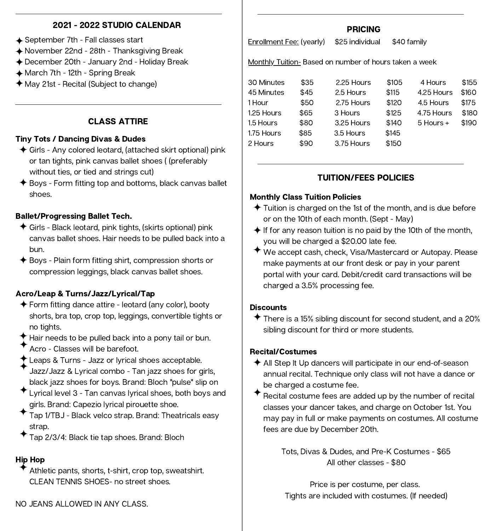## 2021 - 2022 STUDIO CALENDAR

- **← September 7th Fall classes start**
- ◆ November 22nd 28th Thanksgiving Break
- ◆ December 20th January 2nd Holiday Break
- ◆ March 7th 12th Spring Break
- $\triangle$  May 21st Recital (Subject to change)

## CLASS ATTIRE

### Tiny Tots / Dancing Divas & Dudes

- ◆ Girls Any colored leotard, (attached skirt optional) pink or tan tights, pink canvas ballet shoes ( (preferably without ties, or tied and strings cut)
- $\triangle$  Boys Form fitting top and bottoms, black canvas ballet shoes.

### Ballet/Progressing Ballet Tech.

- Girls Black leotard, pink tights, (skirts optional) pink canvas ballet shoes. Hair needs to be pulled back into a bun.
- $\triangle$  Boys Plain form fitting shirt, compression shorts or compression leggings, black canvas ballet shoes.

## Acro/Leap & Turns/Jazz/Lyrical/Tap

- $\triangle$  Form fitting dance attire leotard (any color), booty shorts, bra top, crop top, leggings, convertible tights or no tights.
- $\blacklozenge$  Hair needs to be pulled back into a pony tail or bun. Acro - Classes will be barefoot.
- Leaps & Turns Jazz or lyrical shoes acceptable. Jazz/Jazz & Lyrical combo - Tan jazz shoes for girls, black jazz shoes for boys. Brand: Bloch "pulse" slip on
- Lyrical level 3 Tan canvas lyrical shoes, both boys and girls. Brand: Capezio lyrical pirouette shoe.
- Tap 1/TBJ Black velco strap. Brand: Theatricals easy strap.
- Tap 2/3/4: Black tie tap shoes. Brand: Bloch

## Hip Hop

Athletic pants, shorts, t-shirt, crop top, sweatshirt. CLEAN TENNIS SHOES- no street shoes.

## PRICING

Enrollment Fee: (yearly) \$25 individual \$40 family

Monthly Tuition- Based on number of hours taken a week

| 30 Minutes | \$35 | 2.25 Hours | \$105 | 4 Hours       | \$155 |
|------------|------|------------|-------|---------------|-------|
| 45 Minutes | \$45 | 2.5 Hours  | \$115 | 4.25 Hours    | \$160 |
| 1 Hour     | \$50 | 2.75 Hours | \$120 | 4.5 Hours     | \$175 |
| 1.25 Hours | \$65 | 3 Hours    | \$125 | 4.75 Hours    | \$180 |
| 1.5 Hours  | \$80 | 3.25 Hours | \$140 | $5$ Hours $+$ | \$190 |
| 1.75 Hours | \$85 | 3.5 Hours  | \$145 |               |       |
| 2 Hours    | \$90 | 3.75 Hours | \$150 |               |       |
|            |      |            |       |               |       |

## TUITION/FEES POLICIES

### Monthly Class Tuition Policies

- $\triangle$  Tuition is charged on the 1st of the month, and is due before or on the 10th of each month. (Sept - May)
- $\triangleq$  If for any reason tuition is no paid by the 10th of the month, you will be charged a \$20.00 late fee.
- We accept cash, check, Visa/Mastercard or Autopay. Please make payments at our front desk or pay in your parent portal with your card. Debit/credit card transactions will be charged a 3.5% processing fee.

#### **Discounts**

 $\triangle$  There is a 15% sibling discount for second student, and a 20% sibling discount for third or more students.

#### Recital/Costumes

- $\triangle$  All Step It Up dancers will participate in our end-of-season annual recital. Technique only class will not have a dance or be charged a costume fee.
- Recital costume fees are added up by the number of recital classes your dancer takes, and charge on October 1st. You may pay in full or make payments on costumes. All costume fees are due by December 20th.

Tots, Divas & Dudes, and Pre-K Costumes - \$65 All other classes - \$80

Tights are included with costumes. (If needed) Price is per costume, per class.